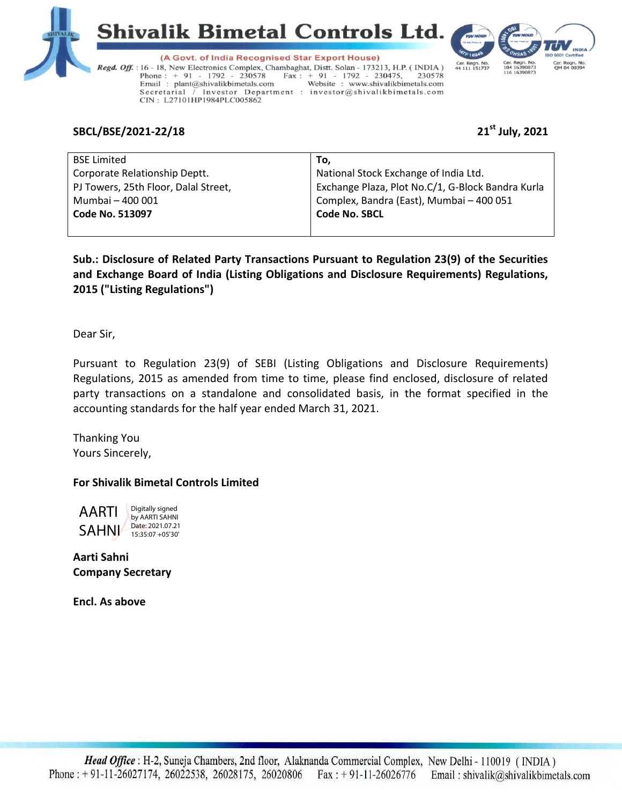





(A Govt. of India Recognised Star Export House) Regd. Off. : 16 - 18, New Electronics Complex, Chambaghat, Distt. Solan - 173213, H.P. (INDIA) Phone:  $+ 91 - 1792 - 230578$  $\text{Fax}: + 91 - 1792 - 230475,$ 230578 Website : www.shivalikbimetals.com Email: plant@shivalikbimetals.com Secretarial / Investor Department : investor@shivalikbimetals.com CIN: L27101HP1984PLC005862

# **SBCL/BSE/2021-22/18 21st July, 2021**

| <b>BSE Limited</b>                   | To.                                               |
|--------------------------------------|---------------------------------------------------|
| Corporate Relationship Deptt.        | National Stock Exchange of India Ltd.             |
| PJ Towers, 25th Floor, Dalal Street, | Exchange Plaza, Plot No.C/1, G-Block Bandra Kurla |
| Mumbai - 400 001                     | Complex, Bandra (East), Mumbai - 400 051          |
| <b>Code No. 513097</b>               | <b>Code No. SBCL</b>                              |
|                                      |                                                   |

**Sub.: Disclosure of Related Party Transactions Pursuant to Regulation 23(9) of the Securities and Exchange Board of India (Listing Obligations and Disclosure Requirements) Regulations, 2015 ("Listing Regulations")** 

Dear Sir,

Pursuant to Regulation 23(9) of SEBI (Listing Obligations and Disclosure Requirements) Regulations, 2015 as amended from time to time, please find enclosed, disclosure of related party transactions on a standalone and consolidated basis, in the format specified in the accounting standards for the half year ended March 31, 2021.

Thanking You Yours Sincerely,

# **For Shivalik Bimetal Controls Limited**



**Aarti Sahni Company Secretary**

**Encl. As above**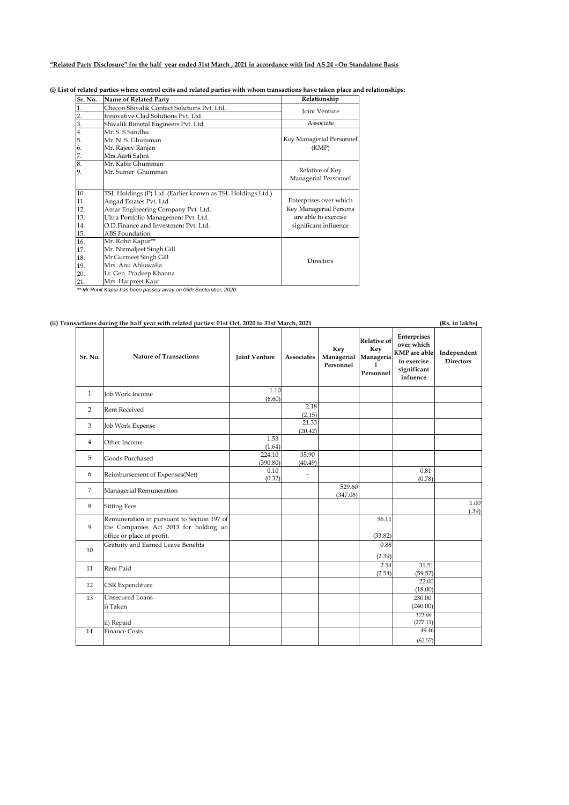## **"Related Party Disclosure" for the half year ended 31st March , 2021 in accordance with Ind AS 24 - On Standalone Basis**

### **(i) List of related parties where control exits and related parties with whom transactions have taken place and relationships:**

| Sr. No.       | Name of Related Party                                      | Relationship             |  |  |  |
|---------------|------------------------------------------------------------|--------------------------|--|--|--|
|               | Checon Shivalik Contact Solutions Pvt. Ltd.                | Joint Venture            |  |  |  |
| 2.            | Innovative Clad Solutions Pvt. Ltd.                        |                          |  |  |  |
| 3.            | Shivalik Bimetal Engineers Pvt. Ltd.                       | Associate                |  |  |  |
| 4.            | Mr. S. S Sandhu                                            |                          |  |  |  |
| 5.            | Mr. N. S. Ghumman                                          | Key Managerial Personnel |  |  |  |
| 6.            | Mr. Rajeev Ranjan                                          | (KMP)                    |  |  |  |
|               | Mrs.Aarti Sahni                                            |                          |  |  |  |
| $\frac{7}{8}$ | Mr. Kabir Ghumman                                          |                          |  |  |  |
| 9.            | Mr. Sumer Ghumman                                          | Relative of Key          |  |  |  |
|               |                                                            | Managerial Personnel     |  |  |  |
| 10.           | TSL Holdings (P) Ltd. (Earlier known as TSL Holdings Ltd.) |                          |  |  |  |
| 11.           | Angad Estates Pvt. Ltd.                                    | Enterprises over which   |  |  |  |
| 12.           | Amar Engineering Company Pvt. Ltd.                         | Key Managerial Persons   |  |  |  |
| 13.           | Ultra Portfolio Management Pvt. Ltd.                       | are able to exercise     |  |  |  |
| 14.           | O.D.Finance and Investment Pvt. Ltd.                       | significant influence    |  |  |  |
| 15.           | ABS Foundation                                             |                          |  |  |  |
| 16.           | Mr. Rohit Kapur**                                          |                          |  |  |  |
| 17.           | Mr. Nirmaljeet Singh Gill                                  |                          |  |  |  |
| 18.           | Mr.Gurmeet Singh Gill                                      | <b>Directors</b>         |  |  |  |
| 19.           | Mrs. Anu Ahluwalia                                         |                          |  |  |  |
| 20.           | Lt. Gen. Pradeep Khanna                                    |                          |  |  |  |
| 21            | Mrs. Harpreet Kaur                                         |                          |  |  |  |

21. Mrs. Harpreet Kaur *\*\* Mr Rohit Kapur has been passed away on 05th September, 2020.*

## **(ii) Transactions during the half year with related parties: 01st Oct, 2020 to 31st March, 2021**

| Sr. No.        | <b>Nature of Transactions</b>                                                                                     | <b>Joint Venture</b> | <b>Associates</b> | Key<br>Managerial<br>Personnel | <b>Relative of</b><br>Key<br>Manageria<br>1<br>Personnel | Enterprises<br>over which<br><b>KMP</b> are able<br>to exercise<br>significant<br>infuence | Independent<br><b>Directors</b> |
|----------------|-------------------------------------------------------------------------------------------------------------------|----------------------|-------------------|--------------------------------|----------------------------------------------------------|--------------------------------------------------------------------------------------------|---------------------------------|
| $\mathbf{1}$   | Job Work Income                                                                                                   | 1.10<br>(6.60)       |                   |                                |                                                          |                                                                                            |                                 |
| $\overline{2}$ | <b>Rent Received</b>                                                                                              |                      | 2.18<br>(2.15)    |                                |                                                          |                                                                                            |                                 |
| 3              | Job Work Expense                                                                                                  |                      | 21.33<br>(20.42)  |                                |                                                          |                                                                                            |                                 |
| $\overline{4}$ | Other Income                                                                                                      | 1.53<br>(1.64)       |                   |                                |                                                          |                                                                                            |                                 |
| 5              | Goods Purchased                                                                                                   | 224.10<br>(390.80)   | 35.90<br>(40.49)  |                                |                                                          |                                                                                            |                                 |
| 6              | Reimbursement of Expenses(Net)                                                                                    | 0.10<br>(0.32)       | ÷                 |                                |                                                          | 0.81<br>(0.78)                                                                             |                                 |
| $\overline{7}$ | Managerial Remuneration                                                                                           |                      |                   | 529.60<br>(347.08)             |                                                          |                                                                                            |                                 |
| 8              | <b>Sitting Fees</b>                                                                                               |                      |                   |                                |                                                          |                                                                                            | 1.00<br>(.39)                   |
| 9              | Remuneration in pursuant to Section 197 of<br>the Companies Act 2013 for holding an<br>office or place of profit. |                      |                   |                                | 56.11<br>(33.82)                                         |                                                                                            |                                 |
| 10             | Gratuity and Earned Leave Benefits                                                                                |                      |                   |                                | 0.88<br>(2.39)                                           |                                                                                            |                                 |
| 11             | Rent Paid                                                                                                         |                      |                   |                                | 2.54<br>(2.54)                                           | 31.51<br>(59.57)                                                                           |                                 |
| 12             | CSR Expenditure                                                                                                   |                      |                   |                                |                                                          | $\overline{22.00}$<br>(18.00)                                                              |                                 |
| 13             | Unsecured Loans<br>i) Taken                                                                                       |                      |                   |                                |                                                          | 230.00<br>(240.00)                                                                         |                                 |
|                | ii) Repaid                                                                                                        |                      |                   |                                |                                                          | 172.99<br>(277.11)                                                                         |                                 |
| 14             | <b>Finance Costs</b>                                                                                              |                      |                   |                                |                                                          | 49.46<br>(62.57)                                                                           |                                 |

**(Rs. in lakhs)**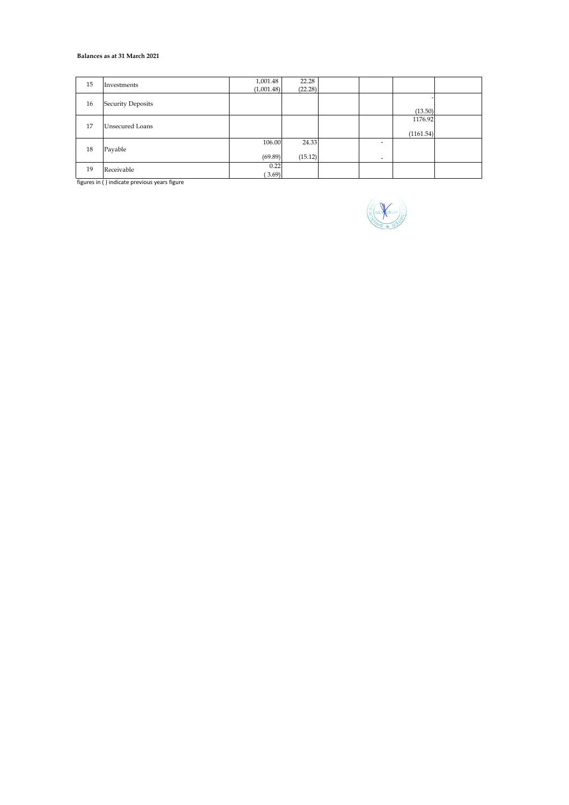#### **Balances as at 31 March 2021**

| 15 | Investments       | 1,001.48<br>(1,001.48) | 22.28<br>(22.28) |        |                      |  |
|----|-------------------|------------------------|------------------|--------|----------------------|--|
| 16 | Security Deposits |                        |                  |        | (13.50)              |  |
| 17 | Unsecured Loans   |                        |                  |        | 1176.92<br>(1161.54) |  |
| 18 | Payable           | 106.00<br>(69.89)      | 24.33<br>(15.12) | ۰<br>۰ |                      |  |
| 19 | Receivable        | 0.22<br>(3.69)         |                  |        |                      |  |

figures in ( ) indicate previous years figure